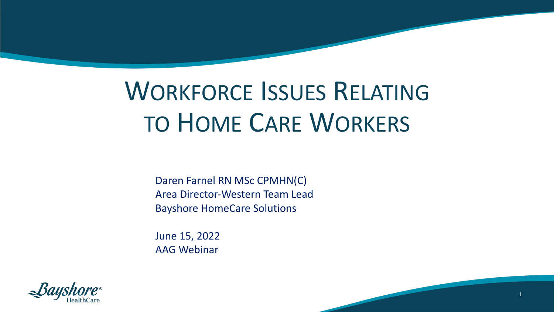## WORKFORCE ISSUES RELATING TO HOME CARE WORKERS

Daren Farnel RN MSc CPMHN(C) Area Director-Western Team Lead Bayshore HomeCare Solutions

June 15, 2022 AAG Webinar



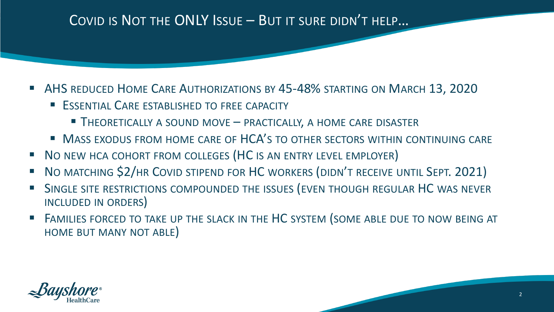## COVID IS NOT THE ONLY ISSUE – BUT IT SURE DIDN'T HELP…

- § AHS REDUCED HOME CARE AUTHORIZATIONS BY 45-48% STARTING ON MARCH 13, 2020
	- **ESSENTIAL CARE ESTABLISHED TO FREE CAPACITY** 
		- THEORETICALLY A SOUND MOVE PRACTICALLY, A HOME CARE DISASTER
	- **MASS EXODUS FROM HOME CARE OF HCA'S TO OTHER SECTORS WITHIN CONTINUING CARE**
- NO NEW HCA COHORT FROM COLLEGES (HC IS AN ENTRY LEVEL EMPLOYER)
- § NO MATCHING \$2/HR COVID STIPEND FOR HC WORKERS (DIDN'T RECEIVE UNTIL SEPT. 2021)
- SINGLE SITE RESTRICTIONS COMPOUNDED THE ISSUES (EVEN THOUGH REGULAR HC WAS NEVER INCLUDED IN ORDERS)
- FAMILIES FORCED TO TAKE UP THE SLACK IN THE HC SYSTEM (SOME ABLE DUE TO NOW BEING AT HOME BUT MANY NOT ABLE)



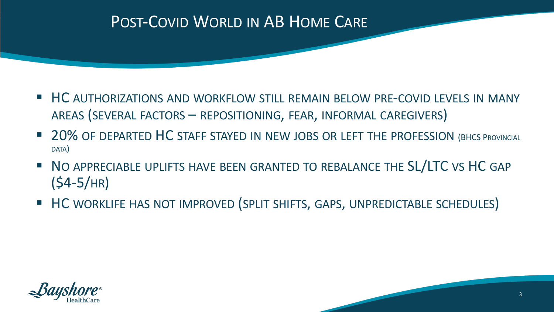## POST-COVID WORLD IN AB HOME CARE

- HC AUTHORIZATIONS AND WORKFLOW STILL REMAIN BELOW PRE-COVID LEVELS IN MANY AREAS (SEVERAL FACTORS – REPOSITIONING, FEAR, INFORMAL CAREGIVERS)
- 20% OF DEPARTED HC STAFF STAYED IN NEW JOBS OR LEFT THE PROFESSION (BHCS PROVINCIAL DATA)
- **NO APPRECIABLE UPLIFTS HAVE BEEN GRANTED TO REBALANCE THE SL/LTC VS HC GAP** (\$4-5/HR)
- HC WORKLIFE HAS NOT IMPROVED (SPLIT SHIFTS, GAPS, UNPREDICTABLE SCHEDULES)